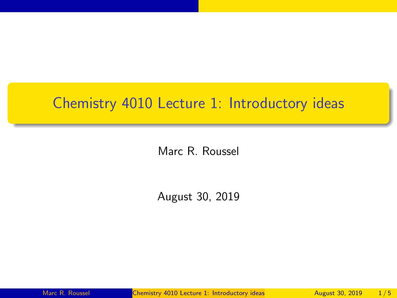## <span id="page-0-0"></span>Chemistry 4010 Lecture 1: Introductory ideas

Marc R. Roussel

August 30, 2019

Marc R. Roussel **[Chemistry 4010 Lecture 1: Introductory ideas](#page-4-0)** August 30, 2019 1/5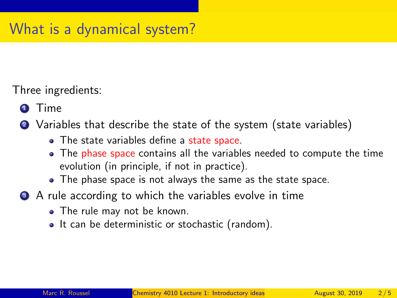Three ingredients:

- **1** Time
- <sup>2</sup> Variables that describe the state of the system (state variables)
	- The state variables define a state space.
	- The phase space contains all the variables needed to compute the time evolution (in principle, if not in practice).
	- The phase space is not always the same as the state space.
- **3** A rule according to which the variables evolve in time
	- The rule may not be known.
	- It can be deterministic or stochastic (random).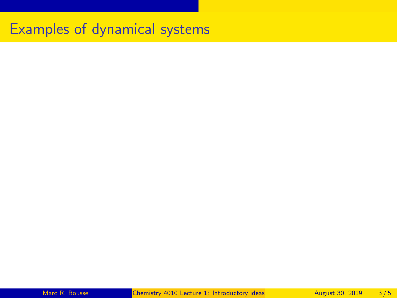## Examples of dynamical systems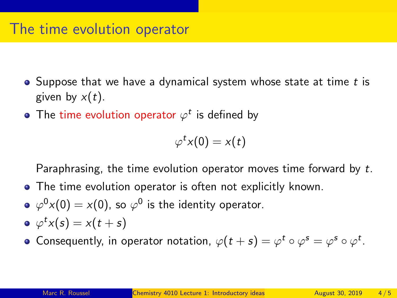## The time evolution operator

- $\bullet$  Suppose that we have a dynamical system whose state at time t is given by  $x(t)$ .
- The time evolution operator  $\varphi^t$  is defined by

 $\varphi^t x(0) = x(t)$ 

Paraphrasing, the time evolution operator moves time forward by t.

- The time evolution operator is often not explicitly known.
- $\varphi^0 x(0) = x(0)$ , so  $\varphi^0$  is the identity operator.
- $\varphi^t x(s) = x(t+s)$
- Consequently, in operator notation,  $\varphi(t+s) = \varphi^t \circ \varphi^s = \varphi^s \circ \varphi^t$ .